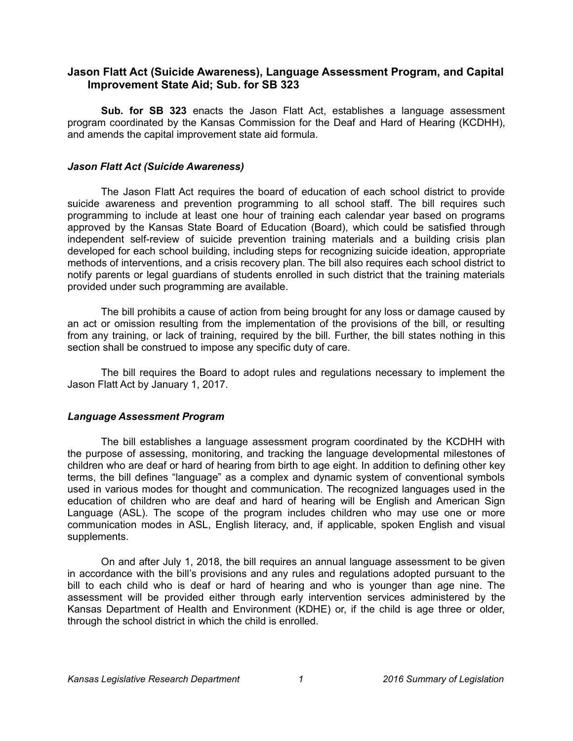## **Jason Flatt Act (Suicide Awareness), Language Assessment Program, and Capital Improvement State Aid; Sub. for SB 323**

**Sub. for SB 323** enacts the Jason Flatt Act, establishes a language assessment program coordinated by the Kansas Commission for the Deaf and Hard of Hearing (KCDHH), and amends the capital improvement state aid formula.

## *Jason Flatt Act (Suicide Awareness)*

The Jason Flatt Act requires the board of education of each school district to provide suicide awareness and prevention programming to all school staff. The bill requires such programming to include at least one hour of training each calendar year based on programs approved by the Kansas State Board of Education (Board), which could be satisfied through independent self-review of suicide prevention training materials and a building crisis plan developed for each school building, including steps for recognizing suicide ideation, appropriate methods of interventions, and a crisis recovery plan. The bill also requires each school district to notify parents or legal guardians of students enrolled in such district that the training materials provided under such programming are available.

The bill prohibits a cause of action from being brought for any loss or damage caused by an act or omission resulting from the implementation of the provisions of the bill, or resulting from any training, or lack of training, required by the bill. Further, the bill states nothing in this section shall be construed to impose any specific duty of care.

The bill requires the Board to adopt rules and regulations necessary to implement the Jason Flatt Act by January 1, 2017.

## *Language Assessment Program*

The bill establishes a language assessment program coordinated by the KCDHH with the purpose of assessing, monitoring, and tracking the language developmental milestones of children who are deaf or hard of hearing from birth to age eight. In addition to defining other key terms, the bill defines "language" as a complex and dynamic system of conventional symbols used in various modes for thought and communication. The recognized languages used in the education of children who are deaf and hard of hearing will be English and American Sign Language (ASL). The scope of the program includes children who may use one or more communication modes in ASL, English literacy, and, if applicable, spoken English and visual supplements.

On and after July 1, 2018, the bill requires an annual language assessment to be given in accordance with the bill's provisions and any rules and regulations adopted pursuant to the bill to each child who is deaf or hard of hearing and who is younger than age nine. The assessment will be provided either through early intervention services administered by the Kansas Department of Health and Environment (KDHE) or, if the child is age three or older, through the school district in which the child is enrolled.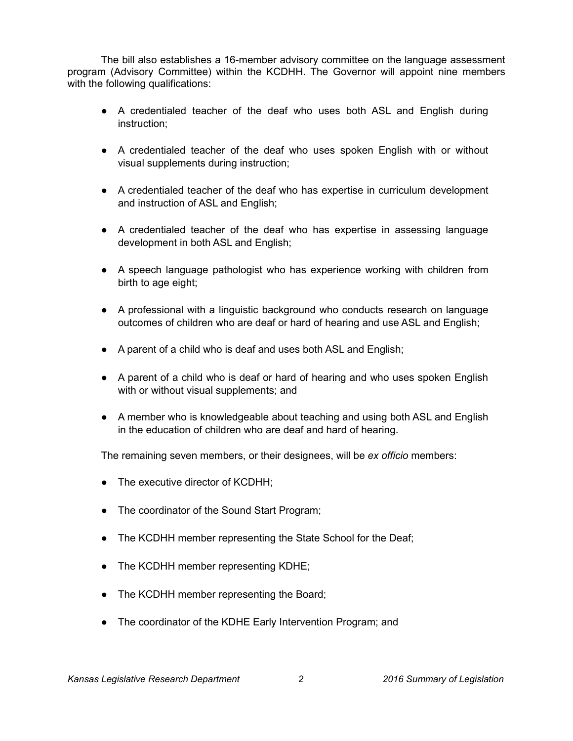The bill also establishes a 16-member advisory committee on the language assessment program (Advisory Committee) within the KCDHH. The Governor will appoint nine members with the following qualifications:

- A credentialed teacher of the deaf who uses both ASL and English during instruction;
- A credentialed teacher of the deaf who uses spoken English with or without visual supplements during instruction;
- A credentialed teacher of the deaf who has expertise in curriculum development and instruction of ASL and English;
- A credentialed teacher of the deaf who has expertise in assessing language development in both ASL and English;
- A speech language pathologist who has experience working with children from birth to age eight;
- A professional with a linguistic background who conducts research on language outcomes of children who are deaf or hard of hearing and use ASL and English;
- A parent of a child who is deaf and uses both ASL and English;
- A parent of a child who is deaf or hard of hearing and who uses spoken English with or without visual supplements; and
- A member who is knowledgeable about teaching and using both ASL and English in the education of children who are deaf and hard of hearing.

The remaining seven members, or their designees, will be *ex officio* members:

- The executive director of KCDHH;
- The coordinator of the Sound Start Program;
- The KCDHH member representing the State School for the Deaf;
- The KCDHH member representing KDHE;
- The KCDHH member representing the Board;
- The coordinator of the KDHE Early Intervention Program; and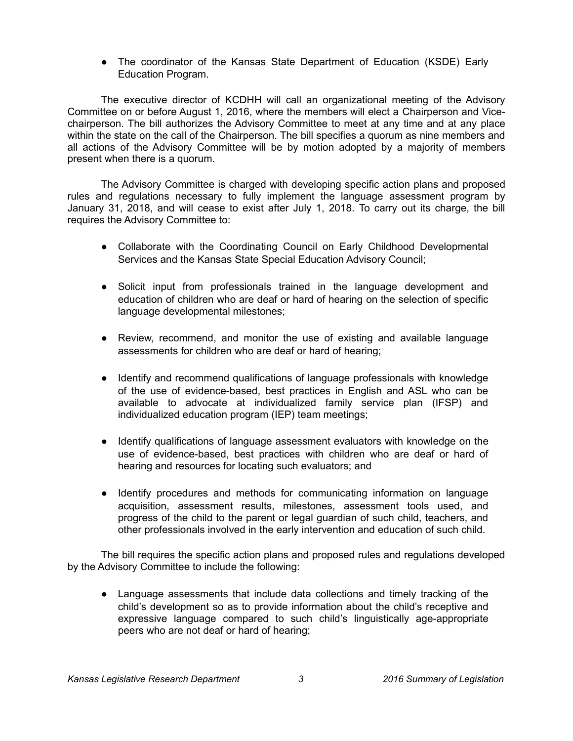• The coordinator of the Kansas State Department of Education (KSDE) Early Education Program.

The executive director of KCDHH will call an organizational meeting of the Advisory Committee on or before August 1, 2016, where the members will elect a Chairperson and Vicechairperson. The bill authorizes the Advisory Committee to meet at any time and at any place within the state on the call of the Chairperson. The bill specifies a quorum as nine members and all actions of the Advisory Committee will be by motion adopted by a majority of members present when there is a quorum.

The Advisory Committee is charged with developing specific action plans and proposed rules and regulations necessary to fully implement the language assessment program by January 31, 2018, and will cease to exist after July 1, 2018. To carry out its charge, the bill requires the Advisory Committee to:

- Collaborate with the Coordinating Council on Early Childhood Developmental Services and the Kansas State Special Education Advisory Council;
- Solicit input from professionals trained in the language development and education of children who are deaf or hard of hearing on the selection of specific language developmental milestones;
- Review, recommend, and monitor the use of existing and available language assessments for children who are deaf or hard of hearing;
- Identify and recommend qualifications of language professionals with knowledge of the use of evidence-based, best practices in English and ASL who can be available to advocate at individualized family service plan (IFSP) and individualized education program (IEP) team meetings;
- Identify qualifications of language assessment evaluators with knowledge on the use of evidence-based, best practices with children who are deaf or hard of hearing and resources for locating such evaluators; and
- Identify procedures and methods for communicating information on language acquisition, assessment results, milestones, assessment tools used, and progress of the child to the parent or legal guardian of such child, teachers, and other professionals involved in the early intervention and education of such child.

The bill requires the specific action plans and proposed rules and regulations developed by the Advisory Committee to include the following:

● Language assessments that include data collections and timely tracking of the child's development so as to provide information about the child's receptive and expressive language compared to such child's linguistically age-appropriate peers who are not deaf or hard of hearing;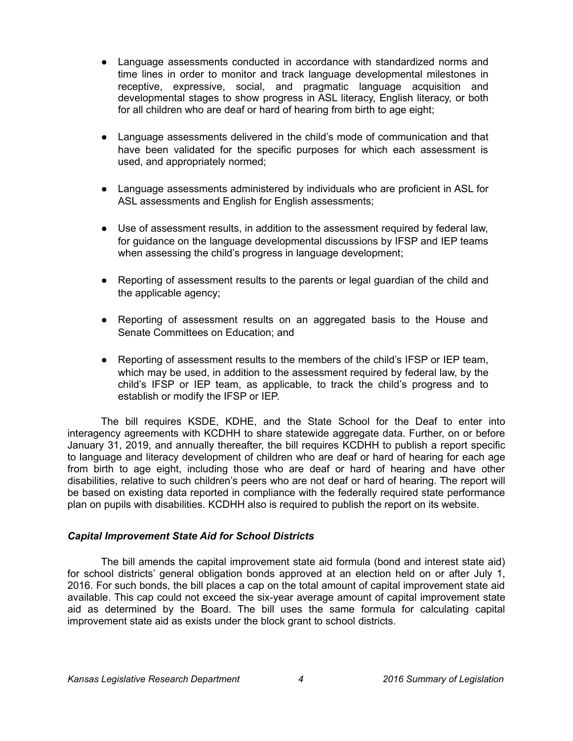- Language assessments conducted in accordance with standardized norms and time lines in order to monitor and track language developmental milestones in receptive, expressive, social, and pragmatic language acquisition and developmental stages to show progress in ASL literacy, English literacy, or both for all children who are deaf or hard of hearing from birth to age eight;
- Language assessments delivered in the child's mode of communication and that have been validated for the specific purposes for which each assessment is used, and appropriately normed;
- Language assessments administered by individuals who are proficient in ASL for ASL assessments and English for English assessments;
- Use of assessment results, in addition to the assessment required by federal law, for guidance on the language developmental discussions by IFSP and IEP teams when assessing the child's progress in language development;
- Reporting of assessment results to the parents or legal guardian of the child and the applicable agency;
- Reporting of assessment results on an aggregated basis to the House and Senate Committees on Education; and
- Reporting of assessment results to the members of the child's IFSP or IEP team, which may be used, in addition to the assessment required by federal law, by the child's IFSP or IEP team, as applicable, to track the child's progress and to establish or modify the IFSP or IEP.

The bill requires KSDE, KDHE, and the State School for the Deaf to enter into interagency agreements with KCDHH to share statewide aggregate data. Further, on or before January 31, 2019, and annually thereafter, the bill requires KCDHH to publish a report specific to language and literacy development of children who are deaf or hard of hearing for each age from birth to age eight, including those who are deaf or hard of hearing and have other disabilities, relative to such children's peers who are not deaf or hard of hearing. The report will be based on existing data reported in compliance with the federally required state performance plan on pupils with disabilities. KCDHH also is required to publish the report on its website.

## *Capital Improvement State Aid for School Districts*

The bill amends the capital improvement state aid formula (bond and interest state aid) for school districts' general obligation bonds approved at an election held on or after July 1, 2016. For such bonds, the bill places a cap on the total amount of capital improvement state aid available. This cap could not exceed the six-year average amount of capital improvement state aid as determined by the Board. The bill uses the same formula for calculating capital improvement state aid as exists under the block grant to school districts.